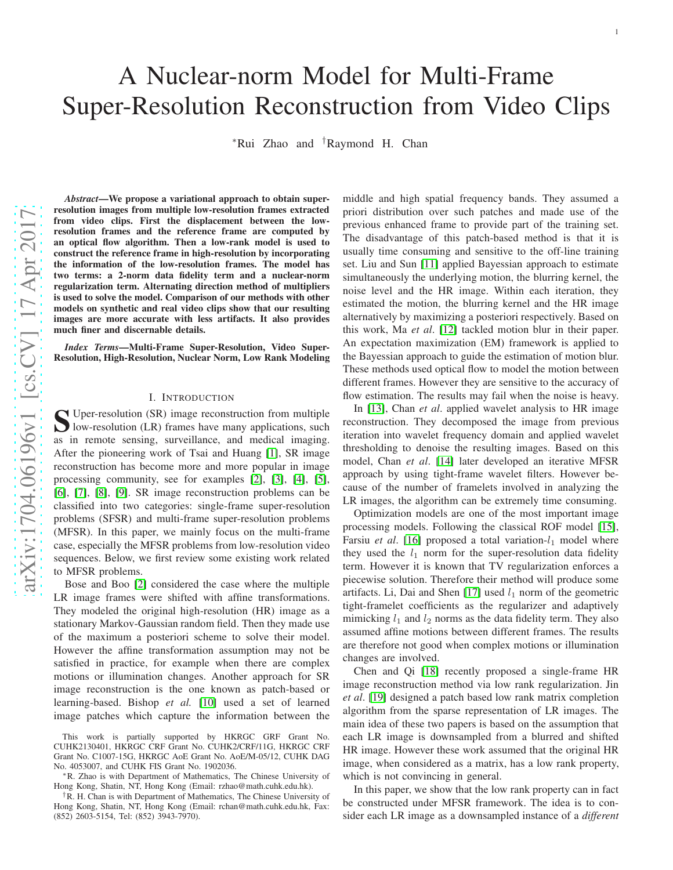# A Nuclear-norm Model for Multi-Frame Super-Resolution Reconstruction from Video Clips

<sup>∗</sup>Rui Zhao and †Raymond H. Chan

arXiv:1704.06196v1 [cs.CV] 17 Apr 2017 [arXiv:1704.06196v1 \[cs.CV\] 17 Apr 2017](http://arxiv.org/abs/1704.06196v1)

*Abstract*—We propose a variational approach to obtain superresolution images from multiple low-resolution frames extracted from video clips. First the displacement between the lowresolution frames and the reference frame are computed by an optical flow algorithm. Then a low-rank model is used to construct the reference frame in high-resolution by incorporating the information of the low-resolution frames. The model has two terms: a 2-norm data fidelity term and a nuclear-norm regularization term. Alternating direction method of multipliers is used to solve the model. Comparison of our methods with other models on synthetic and real video clips show that our resulting images are more accurate with less artifacts. It also provides much finer and discernable details.

*Index Terms*—Multi-Frame Super-Resolution, Video Super-Resolution, High-Resolution, Nuclear Norm, Low Rank Modeling

## I. INTRODUCTION

S Uper-resolution (SR) image reconstruction from multiple<br>low-resolution (LR) frames have many applications, such<br>as in agents against multiple and madial imaginal **I** low-resolution (LR) frames have many applications, such as in remote sensing, surveillance, and medical imaging. After the pioneering work of Tsai and Huang [\[1\]](#page-5-0), SR image reconstruction has become more and more popular in image processing community, see for examples [\[2\]](#page-5-1), [\[3\]](#page-5-2), [\[4\]](#page-5-3), [\[5\]](#page-6-0), [\[6\]](#page-6-1), [\[7\]](#page-6-2), [\[8\]](#page-6-3), [\[9\]](#page-6-4). SR image reconstruction problems can be classified into two categories: single-frame super-resolution problems (SFSR) and multi-frame super-resolution problem s (MFSR). In this paper, we mainly focus on the multi-frame case, especially the MFSR problems from low-resolution video sequences. Below, we first review some existing work related to MFSR problems.

Bose and Boo [\[2\]](#page-5-1) considered the case where the multiple LR image frames were shifted with affine transformations. They modeled the original high-resolution (HR) image as a stationary Markov-Gaussian random field. Then they made use of the maximum a posteriori scheme to solve their model. However the affine transformation assumption may not be satisfied in practice, for example when there are complex motions or illumination changes. Another approach for SR image reconstruction is the one known as patch-based or learning-based. Bishop *et al.* [\[10\]](#page-6-5) used a set of learned image patches which capture the information between the middle and high spatial frequency bands. They assumed a priori distribution over such patches and made use of the previous enhanced frame to provide part of the training set. The disadvantage of this patch-based method is that it is usually time consuming and sensitive to the off-line training set. Liu and Sun [\[11\]](#page-6-6) applied Bayessian approach to estimate simultaneously the underlying motion, the blurring kernel, the noise level and the HR image. Within each iteration, they estimated the motion, the blurring kernel and the HR image alternatively by maximizing a posteriori respectively. Based on this work, Ma *et al*. [\[12\]](#page-6-7) tackled motion blur in their paper. An expectation maximization (EM) framework is applied to the Bayessian approach to guide the estimation of motion blur. These methods used optical flow to model the motion between different frames. However they are sensitive to the accuracy of flow estimation. The results may fail when the noise is heavy.

In [\[13\]](#page-6-8), Chan *et al*. applied wavelet analysis to HR image reconstruction. They decomposed the image from previous iteration into wavelet frequency domain and applied wavele t thresholding to denoise the resulting images. Based on this model, Chan *et al*. [\[14\]](#page-6-9) later developed an iterative MFSR approach by using tight-frame wavelet filters. However because of the number of framelets involved in analyzing the LR images, the algorithm can be extremely time consuming.

Optimization models are one of the most important image processing models. Following the classical ROF model [\[15\]](#page-6-10), Farsiu et al. [\[16\]](#page-6-11) proposed a total variation-l<sub>1</sub> model where they used the  $l_1$  norm for the super-resolution data fidelity term. However it is known that TV regularization enforces a piecewise solution. Therefore their method will produce some artifacts. Li, Dai and Shen  $[17]$  used  $l_1$  norm of the geometric tight-framelet coefficients as the regularizer and adaptively mimicking  $l_1$  and  $l_2$  norms as the data fidelity term. They also assumed affine motions between different frames. The result s are therefore not good when complex motions or illumination changes are involved.

Chen and Qi [\[18\]](#page-6-13) recently proposed a single-frame HR image reconstruction method via low rank regularization. Jin *et al*. [\[19\]](#page-6-14) designed a patch based low rank matrix completion algorithm from the sparse representation of LR images. The main idea of these two papers is based on the assumption that each LR image is downsampled from a blurred and shifted HR image. However these work assumed that the original HR image, when considered as a matrix, has a low rank property, which is not convincing in general.

In this paper, we show that the low rank property can in fact be constructed under MFSR framework. The idea is to consider each LR image as a downsampled instance of a *different*

This work is partially supported by HKRGC GRF Grant No. CUHK2130401, HKRGC CRF Grant No. CUHK2/CRF/11G, HKRGC CRF Grant No. C1007-15G, HKRGC AoE Grant No. AoE/M-05/12, CUHK DAG

<sup>\*</sup>R. Zhao is with Department of Mathematics, The Chinese University of Hong Kong, Shatin, NT, Hong Kong (Email: rzhao@math.cuhk.edu.hk).

<sup>†</sup>R. H. Chan is with Department of Mathematics, The Chinese University of Hong Kong, Shatin, NT, Hong Kong (Email: rchan@math.cuhk.edu.hk, Fax: (852) 2603-5154, Tel: (852) 3943-7970).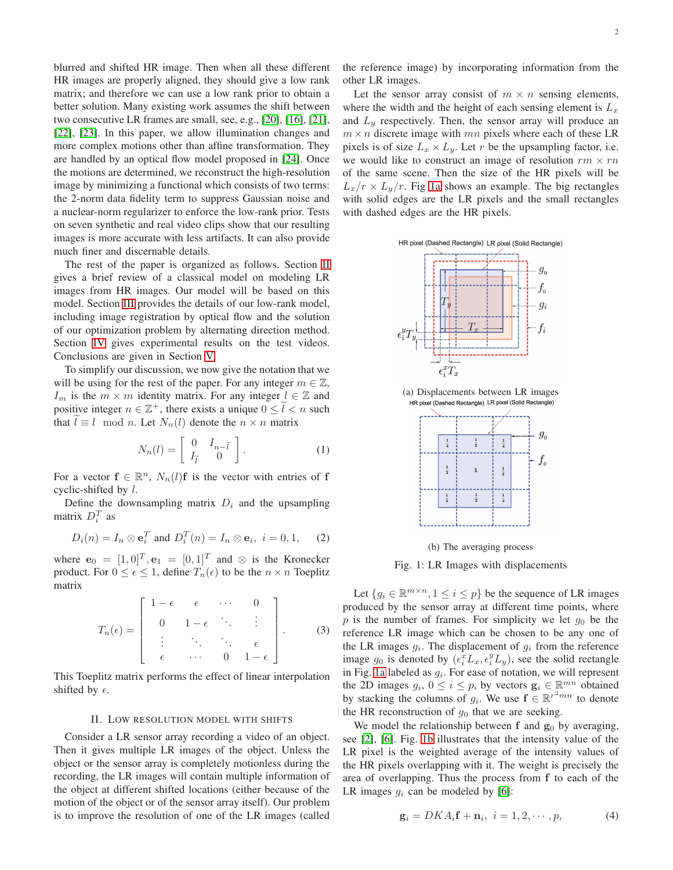blurred and shifted HR image. Then when all these different HR images are properly aligned, they should give a low rank matrix; and therefore we can use a low rank prior to obtain a better solution. Many existing work assumes the shift between two consecutive LR frames are small, see, e.g., [\[20\]](#page-7-0), [\[16\]](#page-6-11), [\[21\]](#page-7-1), [\[22\]](#page-7-2), [\[23\]](#page-7-3). In this paper, we allow illumination changes and more complex motions other than affine transformation. They are handled by an optical flow model proposed in [\[24\]](#page-7-4). Once the motions are determined, we reconstruct the high-resolution image by minimizing a functional which consists of two terms: the 2-norm data fidelity term to suppress Gaussian noise and a nuclear-norm regularizer to enforce the low-rank prior. Tests on seven synthetic and real video clips show that our resulting images is more accurate with less artifacts. It can also provide much finer and discernable details.

The rest of the paper is organized as follows. Section [II](#page-1-0) gives a brief review of a classical model on modeling LR images from HR images. Our model will be based on this model. Section [III](#page-2-0) provides the details of our low-rank model, including image registration by optical flow and the solution of our optimization problem by alternating direction method. Section [IV](#page-4-0) gives experimental results on the test videos. Conclusions are given in Section [V.](#page-5-4)

To simplify our discussion, we now give the notation that we will be using for the rest of the paper. For any integer  $m \in \mathbb{Z}$ ,  $I_m$  is the  $m \times m$  identity matrix. For any integer  $l \in \mathbb{Z}$  and positive integer  $n \in \mathbb{Z}^+$ , there exists a unique  $0 \leq \tilde{l} < n$  such that  $l \equiv l \mod n$ . Let  $N_n(l)$  denote the  $n \times n$  matrix

$$
N_n(l) = \left[ \begin{array}{cc} 0 & I_{n-\tilde{l}} \\ I_{\tilde{l}} & 0 \end{array} \right].
$$
 (1)

For a vector  $f \in \mathbb{R}^n$ ,  $N_n(l)f$  is the vector with entries of f cyclic-shifted by  $l$ .

Define the downsampling matrix  $D_i$  and the upsampling matrix  $D_i^T$  as

<span id="page-1-2"></span>
$$
D_i(n) = I_n \otimes \mathbf{e}_i^T \text{ and } D_i^T(n) = I_n \otimes \mathbf{e}_i, \ i = 0, 1,
$$
 (2)

where  $\mathbf{e}_0 = [1, 0]^T$ ,  $\mathbf{e}_1 = [0, 1]^T$  and  $\otimes$  is the Kronecker product. For  $0 \le \epsilon \le 1$ , define  $T_n(\epsilon)$  to be the  $n \times n$  Toeplitz matrix

<span id="page-1-3"></span>
$$
T_n(\epsilon) = \left[ \begin{array}{ccccc} 1 - \epsilon & \epsilon & \cdots & 0 \\ 0 & 1 - \epsilon & \ddots & \vdots \\ \vdots & \ddots & \ddots & \epsilon \\ \epsilon & \cdots & 0 & 1 - \epsilon \end{array} \right].
$$
 (3)

This Toeplitz matrix performs the effect of linear interpolation shifted by  $\epsilon$ .

#### II. LOW RESOLUTION MODEL WITH SHIFTS

<span id="page-1-0"></span>Consider a LR sensor array recording a video of an object. Then it gives multiple LR images of the object. Unless the object or the sensor array is completely motionless during the recording, the LR images will contain multiple information of the object at different shifted locations (either because of the motion of the object or of the sensor array itself). Our problem is to improve the resolution of one of the LR images (called

the reference image) by incorporating information from the other LR images.

Let the sensor array consist of  $m \times n$  sensing elements, where the width and the height of each sensing element is  $L_x$ and  $L_y$  respectively. Then, the sensor array will produce an  $m \times n$  discrete image with mn pixels where each of these LR pixels is of size  $L_x \times L_y$ . Let r be the upsampling factor, i.e. we would like to construct an image of resolution  $rm \times rn$ of the same scene. Then the size of the HR pixels will be  $L_x/r \times L_y/r$ . Fig [1a](#page-1-1) shows an example. The big rectangles with solid edges are the LR pixels and the small rectangles with dashed edges are the HR pixels.

<span id="page-1-1"></span>

<span id="page-1-5"></span>(a) Displacements between LR images HR pixel (Dashed Rectangle) LR pixel (Solid Rectangle)



(b) The averaging process

Fig. 1: LR Images with displacements

Let  $\{g_i \in \mathbb{R}^{m \times n}, 1 \leq i \leq p\}$  be the sequence of LR images produced by the sensor array at different time points, where p is the number of frames. For simplicity we let  $g_0$  be the reference LR image which can be chosen to be any one of the LR images  $g_i$ . The displacement of  $g_i$  from the reference image  $g_0$  is denoted by  $(e_i^x L_x, e_i^y L_y)$ , see the solid rectangle in Fig. [1a](#page-1-1) labeled as  $g_i$ . For ease of notation, we will represent the 2D images  $g_i$ ,  $0 \le i \le p$ , by vectors  $\mathbf{g}_i \in \mathbb{R}^{mn}$  obtained by stacking the columns of  $g_i$ . We use  $f \in \mathbb{R}^{r^2mn}$  to denote the HR reconstruction of  $g_0$  that we are seeking.

We model the relationship between  $f$  and  $g_0$  by averaging, see [\[2\]](#page-5-1), [\[6\]](#page-6-1). Fig. [1b](#page-1-1) illustrates that the intensity value of the LR pixel is the weighted average of the intensity values of the HR pixels overlapping with it. The weight is precisely the area of overlapping. Thus the process from f to each of the LR images  $q_i$  can be modeled by [\[6\]](#page-6-1):

<span id="page-1-4"></span>
$$
\mathbf{g}_i = DKA_i \mathbf{f} + \mathbf{n}_i, \ i = 1, 2, \cdots, p,\tag{4}
$$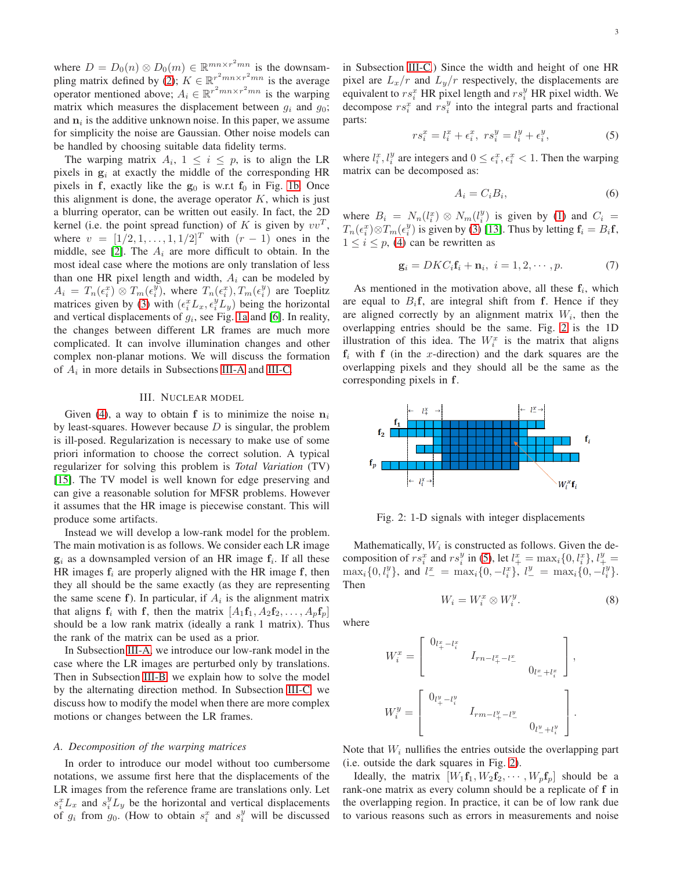where  $D = D_0(n) \otimes D_0(m) \in \mathbb{R}^{mn \times r^2 mn}$  is the downsam-pling matrix defined by [\(2\)](#page-1-2);  $K \in \mathbb{R}^{r^2mn \times r^2mn}$  is the average operator mentioned above;  $A_i \in \mathbb{R}^{r^2mn \times r^2mn}$  is the warping matrix which measures the displacement between  $g_i$  and  $g_0$ ; and  $n_i$  is the additive unknown noise. In this paper, we assume for simplicity the noise are Gaussian. Other noise models can be handled by choosing suitable data fidelity terms.

The warping matrix  $A_i$ ,  $1 \leq i \leq p$ , is to align the LR pixels in  $g_i$  at exactly the middle of the corresponding HR pixels in f, exactly like the  $g_0$  is w.r.t  $f_0$  in Fig. [1b.](#page-1-1) Once this alignment is done, the average operator  $K$ , which is just a blurring operator, can be written out easily. In fact, the 2D kernel (i.e. the point spread function) of K is given by  $vv^T$ , where  $v = [1/2, 1, \dots, 1, 1/2]^T$  with  $(r - 1)$  ones in the middle, see [\[2\]](#page-5-1). The  $A_i$  are more difficult to obtain. In the most ideal case where the motions are only translation of less than one HR pixel length and width,  $A_i$  can be modeled by  $A_i = T_n(\epsilon_i^x) \otimes T_m(\epsilon_i^y)$ , where  $T_n(\epsilon_i^x)$ ,  $T_m(\epsilon_i^y)$  are Toeplitz matrices given by [\(3\)](#page-1-3) with  $(\epsilon_i^x L_x, \epsilon_i^y L_y)$  being the horizontal and vertical displacements of  $g_i$ , see Fig. [1a](#page-1-1) and [\[6\]](#page-6-1). In reality, the changes between different LR frames are much more complicated. It can involve illumination changes and other complex non-planar motions. We will discuss the formation of  $A_i$  in more details in Subsections [III-A](#page-2-1) and [III-C.](#page-3-0)

## III. NUCLEAR MODEL

<span id="page-2-0"></span>Given [\(4\)](#page-1-4), a way to obtain f is to minimize the noise  $n_i$ by least-squares. However because  $D$  is singular, the problem is ill-posed. Regularization is necessary to make use of some priori information to choose the correct solution. A typical regularizer for solving this problem is *Total Variation* (TV) [\[15\]](#page-6-10). The TV model is well known for edge preserving and can give a reasonable solution for MFSR problems. However it assumes that the HR image is piecewise constant. This will produce some artifacts.

Instead we will develop a low-rank model for the problem. The main motivation is as follows. We consider each LR image  $g_i$  as a downsampled version of an HR image  $f_i$ . If all these HR images  $f_i$  are properly aligned with the HR image f, then they all should be the same exactly (as they are representing the same scene f). In particular, if  $A_i$  is the alignment matrix that aligns  $f_i$  with f, then the matrix  $[A_1f_1, A_2f_2, \ldots, A_nf_p]$ should be a low rank matrix (ideally a rank 1 matrix). Thus the rank of the matrix can be used as a prior.

In Subsection [III-A,](#page-2-1) we introduce our low-rank model in the case where the LR images are perturbed only by translations. Then in Subsection [III-B,](#page-3-1) we explain how to solve the model by the alternating direction method. In Subsection [III-C,](#page-3-0) we discuss how to modify the model when there are more complex motions or changes between the LR frames.

#### <span id="page-2-1"></span>*A. Decomposition of the warping matrices*

In order to introduce our model without too cumbersome notations, we assume first here that the displacements of the LR images from the reference frame are translations only. Let  $s_i^x L_x$  and  $s_i^y L_y$  be the horizontal and vertical displacements of  $g_i$  from  $g_0$ . (How to obtain  $s_i^x$  and  $s_i^y$  will be discussed in Subsection [III-C.](#page-3-0)) Since the width and height of one HR pixel are  $L_x/r$  and  $L_y/r$  respectively, the displacements are equivalent to  $rs_i^x$  HR pixel length and  $rs_i^y$  HR pixel width. We decompose  $rs_i^x$  and  $rs_i^y$  into the integral parts and fractional parts:

<span id="page-2-3"></span>
$$
rs_i^x = l_i^x + \epsilon_i^x, \ rs_i^y = l_i^y + \epsilon_i^y,\tag{5}
$$

where  $l_i^x$ ,  $l_i^y$  are integers and  $0 \leq \epsilon_i^x$ ,  $\epsilon_i^x < 1$ . Then the warping matrix can be decomposed as:

<span id="page-2-4"></span>
$$
A_i = C_i B_i,\tag{6}
$$

where  $B_i = N_n(l_i^x) \otimes N_m(l_i^y)$  is given by [\(1\)](#page-1-5) and  $C_i =$  $T_n(\epsilon_i^x) \otimes T_m(\epsilon_i^y)$  is given by [\(3\)](#page-1-3) [\[13\]](#page-6-8). Thus by letting  $\mathbf{f}_i = B_i \mathbf{f}$ ,  $1 \leq i \leq p$ , [\(4\)](#page-1-4) can be rewritten as

$$
\mathbf{g}_i = DKC_i \mathbf{f}_i + \mathbf{n}_i, \ i = 1, 2, \cdots, p. \tag{7}
$$

As mentioned in the motivation above, all these  $f_i$ , which are equal to  $B_i$ f, are integral shift from f. Hence if they are aligned correctly by an alignment matrix  $W_i$ , then the overlapping entries should be the same. Fig. [2](#page-2-2) is the 1D illustration of this idea. The  $W_i^x$  is the matrix that aligns  $f_i$  with f (in the x-direction) and the dark squares are the overlapping pixels and they should all be the same as the corresponding pixels in f.

<span id="page-2-2"></span>

Fig. 2: 1-D signals with integer displacements

<span id="page-2-5"></span>Mathematically,  $W_i$  is constructed as follows. Given the decomposition of  $rs_i^x$  and  $rs_i^y$  in [\(5\)](#page-2-3), let  $l^x_+ = \max_i\{0, l^x_i\}, l^y_+ =$  $\max_i\{0, l_i^y\}$ , and  $l^x = \max_i\{0, -l_i^x\}$ ,  $l^y = \max_i\{0, -l_i^y\}$ . Then

$$
W_i = W_i^x \otimes W_i^y. \tag{8}
$$

where

$$
W_i^x = \begin{bmatrix} 0_{l_+^x - l_i^x} & & & \\ & I_{rn-l_+^x - l_-^x} & & \\ & & 0_{l_-^x + l_i^x} \end{bmatrix},
$$
  

$$
W_i^y = \begin{bmatrix} 0_{l_+^y - l_i^y} & & & \\ & I_{rm-l_+^y - l_-^y} & & \\ & & 0_{l_-^y + l_i^y} \end{bmatrix}.
$$

Note that  $W_i$  nullifies the entries outside the overlapping part (i.e. outside the dark squares in Fig. [2\)](#page-2-2).

Ideally, the matrix  $[W_1f_1, W_2f_2, \cdots, W_pf_p]$  should be a rank-one matrix as every column should be a replicate of f in the overlapping region. In practice, it can be of low rank due to various reasons such as errors in measurements and noise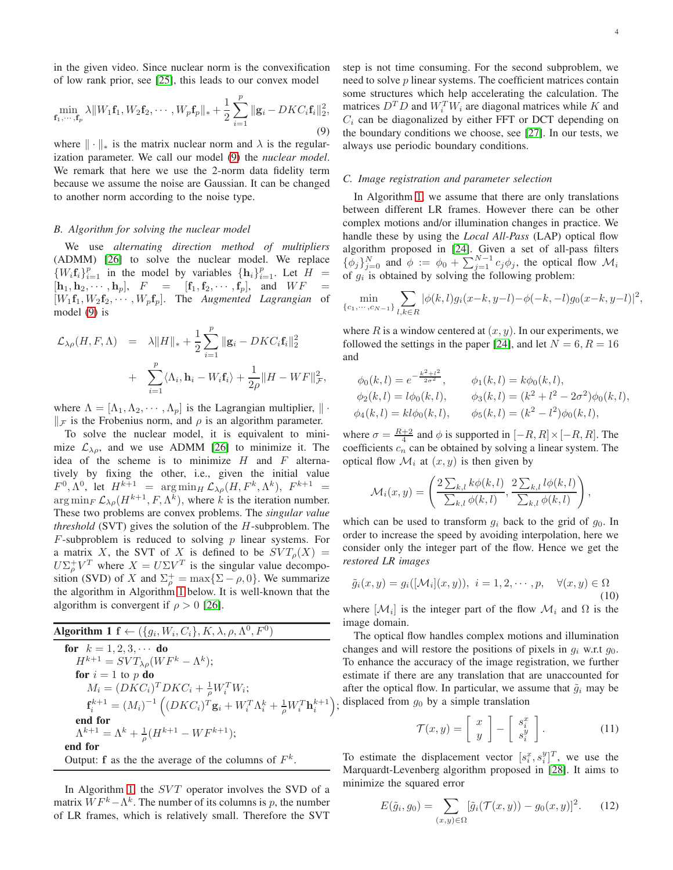$$
\min_{\mathbf{f}_1,\cdots,\mathbf{f}_p} \lambda \|W_1 \mathbf{f}_1, W_2 \mathbf{f}_2, \cdots, W_p \mathbf{f}_p\|_{*} + \frac{1}{2} \sum_{i=1}^p \|\mathbf{g}_i - DKC_i \mathbf{f}_i\|_2^2,
$$
\n(9)

where  $\|\cdot\|_*$  is the matrix nuclear norm and  $\lambda$  is the regularization parameter. We call our model [\(9\)](#page-3-2) the *nuclear model*. We remark that here we use the 2-norm data fidelity term because we assume the noise are Gaussian. It can be changed to another norm according to the noise type.

## <span id="page-3-1"></span>*B. Algorithm for solving the nuclear model*

We use *alternating direction method of multipliers* (ADMM) [\[26\]](#page-7-6) to solve the nuclear model. We replace  $\{W_i f_i\}_{i=1}^p$  in the model by variables  $\{h_i\}_{i=1}^p$ . Let  $H =$  $[\mathbf{h}_1, \mathbf{h}_2, \cdots, \mathbf{h}_p],$   $F = [\mathbf{f}_1, \mathbf{f}_2, \cdots, \mathbf{f}_p],$  and  $WF$  $[W_1\mathbf{f}_1, W_2\mathbf{f}_2, \cdots, W_p\mathbf{f}_p]$ . The *Augmented Lagrangian* of model [\(9\)](#page-3-2) is

$$
\mathcal{L}_{\lambda\rho}(H, F, \Lambda) = \lambda \|H\|_{*} + \frac{1}{2} \sum_{i=1}^{p} \|\mathbf{g}_{i} - DKC_{i}\mathbf{f}_{i}\|_{2}^{2} + \sum_{i=1}^{p} \langle \Lambda_{i}, \mathbf{h}_{i} - W_{i}\mathbf{f}_{i} \rangle + \frac{1}{2\rho} \|H - WF\|_{\mathcal{F}}^{2},
$$

where  $\Lambda = [\Lambda_1, \Lambda_2, \cdots, \Lambda_n]$  is the Lagrangian multiplier,  $\|\cdot\|$  $\Vert$   $\neq$  is the Frobenius norm, and  $\rho$  is an algorithm parameter.

To solve the nuclear model, it is equivalent to minimize  $\mathcal{L}_{\lambda\rho}$ , and we use ADMM [\[26\]](#page-7-6) to minimize it. The idea of the scheme is to minimize  $H$  and  $F$  alternatively by fixing the other, i.e., given the initial value  $F^0, \Lambda^0$ , let  $H^{k+1}$  =  $\arg\min_H \mathcal{L}_{\lambda\rho}(H, F^k, \Lambda^k)$ ,  $F^{k+1}$  =  $\arg \min_{F} \mathcal{L}_{\lambda \rho}(H^{k+1}, F, \Lambda^k)$ , where k is the iteration number. These two problems are convex problems. The *singular value threshold* (SVT) gives the solution of the H-subproblem. The  $F$ -subproblem is reduced to solving  $p$  linear systems. For a matrix X, the SVT of X is defined to be  $SVT_{\rho}(X)$  =  $U\Sigma_p^+V^T$  where  $X = U\Sigma V^T$  is the singular value decomposition (SVD) of X and  $\Sigma_p^+ = \max{\{\Sigma - \rho, 0\}}$ . We summarize the algorithm in Algorithm [1](#page-3-3) below. It is well-known that the algorithm is convergent if  $\rho > 0$  [\[26\]](#page-7-6).

<span id="page-3-3"></span>Algorithm 1 
$$
f \leftarrow (\{g_i, W_i, C_i\}, K, \lambda, \rho, \Lambda^0, F^0)
$$
  
\nfor  $k = 1, 2, 3, \cdots$  do  
\n $H^{k+1} = SVT_{\lambda\rho}(WF^k - \Lambda^k);$   
\nfor  $i = 1$  to p do  
\n $M_i = (DKC_i)^T DKC_i + \frac{1}{\rho} W_i^T W_i;$   
\n $f_i^{k+1} = (M_i)^{-1} ((DKC_i)^T g_i + W_i^T \Lambda_i^k + \frac{1}{\rho} W_i^T \mathbf{h}_i^{k+1});$   
\nend for  
\n $\Lambda^{k+1} = \Lambda^k + \frac{1}{\rho} (H^{k+1} - WF^{k+1});$   
\nend for  
\nOutput: f as the the average of the columns of  $F^k$ .

In Algorithm [1,](#page-3-3) the SVT operator involves the SVD of a matrix  $WF^k - \Lambda^k$ . The number of its columns is p, the number of LR frames, which is relatively small. Therefore the SVT <span id="page-3-2"></span>step is not time consuming. For the second subproblem, we need to solve p linear systems. The coefficient matrices contain some structures which help accelerating the calculation. The matrices  $D^T D$  and  $W_i^T W_i$  are diagonal matrices while K and  $C_i$  can be diagonalized by either FFT or DCT depending on the boundary conditions we choose, see [\[27\]](#page-7-7). In our tests, we always use periodic boundary conditions.

## <span id="page-3-0"></span>*C. Image registration and parameter selection*

In Algorithm [1,](#page-3-3) we assume that there are only translations between different LR frames. However there can be other complex motions and/or illumination changes in practice. We handle these by using the *Local All-Pass* (LAP) optical flow algorithm proposed in [\[24\]](#page-7-4). Given a set of all-pass filters  $\{\phi_j\}_{j=0}^N$  and  $\phi := \phi_0 + \sum_{j=1}^{N-1} c_j \phi_j$ , the optical flow  $\mathcal{M}_i$ of  $g_i$  is obtained by solving the following problem:

$$
\min_{\{c_1, \cdots, c_{N-1}\}} \sum_{l,k \in R} |\phi(k,l)g_i(x-k,y-l) - \phi(-k,-l)g_0(x-k,y-l)|^2,
$$

where R is a window centered at  $(x, y)$ . In our experiments, we followed the settings in the paper [\[24\]](#page-7-4), and let  $N = 6, R = 16$ and

$$
\begin{aligned}\n\phi_0(k,l) &= e^{-\frac{k^2 + l^2}{2\sigma^2}}, & \phi_1(k,l) &= k\phi_0(k,l), \\
\phi_2(k,l) &= l\phi_0(k,l), & \phi_3(k,l) &= (k^2 + l^2 - 2\sigma^2)\phi_0(k,l), \\
\phi_4(k,l) &= kl\phi_0(k,l), & \phi_5(k,l) &= (k^2 - l^2)\phi_0(k,l),\n\end{aligned}
$$

where  $\sigma = \frac{R+2}{4}$  and  $\phi$  is supported in  $[-R, R] \times [-R, R]$ . The coefficients  $c_n$  can be obtained by solving a linear system. The optical flow  $\mathcal{M}_i$  at  $(x, y)$  is then given by

$$
\mathcal{M}_i(x,y) = \left(\frac{2\sum_{k,l} k\phi(k,l)}{\sum_{k,l} \phi(k,l)}, \frac{2\sum_{k,l} l\phi(k,l)}{\sum_{k,l} \phi(k,l)}\right),
$$

which can be used to transform  $q_i$  back to the grid of  $q_0$ . In order to increase the speed by avoiding interpolation, here we consider only the integer part of the flow. Hence we get the *restored LR images*

<span id="page-3-4"></span>
$$
\tilde{g}_i(x,y) = g_i([\mathcal{M}_i](x,y)), \ i = 1,2,\cdots,p, \quad \forall (x,y) \in \Omega
$$
\n(10)

where  $[\mathcal{M}_i]$  is the integer part of the flow  $\mathcal{M}_i$  and  $\Omega$  is the image domain.

The optical flow handles complex motions and illumination changes and will restore the positions of pixels in  $g_i$  w.r.t  $g_0$ . To enhance the accuracy of the image registration, we further estimate if there are any translation that are unaccounted for after the optical flow. In particular, we assume that  $\tilde{g}_i$  may be displaced from  $g_0$  by a simple translation

<span id="page-3-5"></span>
$$
\mathcal{T}(x,y) = \left[ \begin{array}{c} x \\ y \end{array} \right] - \left[ \begin{array}{c} s_i^x \\ s_i^y \end{array} \right]. \tag{11}
$$

To estimate the displacement vector  $[s_i^x, s_i^y]^T$ , we use the Marquardt-Levenberg algorithm proposed in [\[28\]](#page-7-8). It aims to minimize the squared error

$$
E(\tilde{g}_i, g_0) = \sum_{(x,y)\in\Omega} [\tilde{g}_i(\mathcal{T}(x,y)) - g_0(x,y)]^2.
$$
 (12)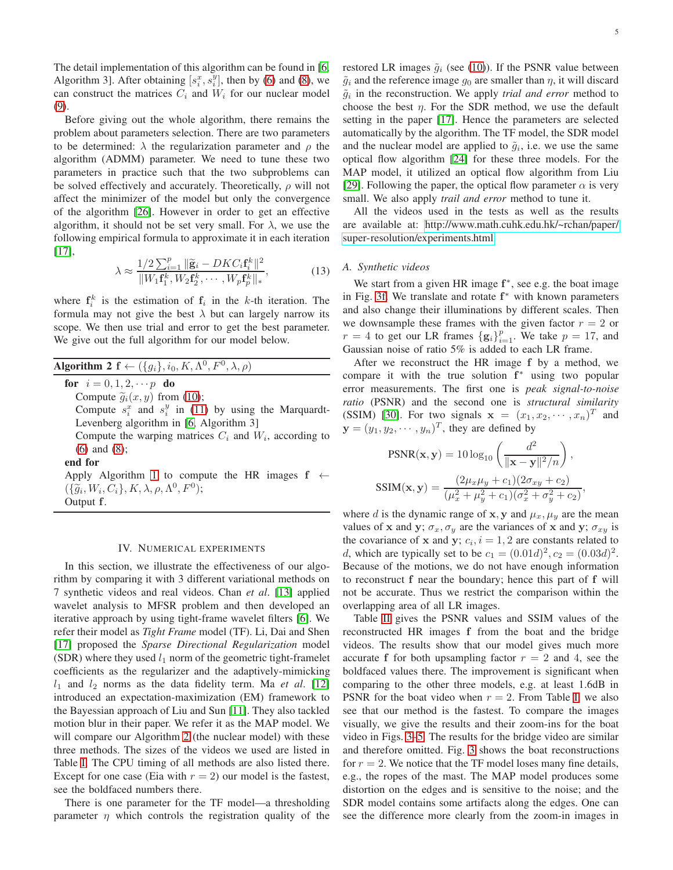The detail implementation of this algorithm can be found in [\[6,](#page-6-1) Algorithm 3]. After obtaining  $[s_i^x, s_i^y]$ , then by [\(6\)](#page-2-4) and [\(8\)](#page-2-5), we can construct the matrices  $C_i$  and  $W_i$  for our nuclear model [\(9\)](#page-3-2).

Before giving out the whole algorithm, there remains the problem about parameters selection. There are two parameters to be determined:  $\lambda$  the regularization parameter and  $\rho$  the algorithm (ADMM) parameter. We need to tune these two parameters in practice such that the two subproblems can be solved effectively and accurately. Theoretically,  $\rho$  will not affect the minimizer of the model but only the convergence of the algorithm [\[26\]](#page-7-6). However in order to get an effective algorithm, it should not be set very small. For  $\lambda$ , we use the following empirical formula to approximate it in each iteration [\[17\]](#page-6-12),

$$
\lambda \approx \frac{1/2 \sum_{i=1}^{p} \|\widetilde{\mathbf{g}}_i - DKC_i \mathbf{f}_i^k\|^2}{\|W_1 \mathbf{f}_1^k, W_2 \mathbf{f}_2^k, \cdots, W_p \mathbf{f}_p^k\|_*},
$$
(13)

where  $f_i^k$  is the estimation of  $f_i$  in the k-th iteration. The formula may not give the best  $\lambda$  but can largely narrow its scope. We then use trial and error to get the best parameter. We give out the full algorithm for our model below.

<span id="page-4-1"></span>

| <b>Algorithm 2</b> $f \leftarrow (\{g_i\}, i_0, K, \Lambda^0, F^0, \lambda, \rho)$ |  |  |  |  |  |  |  |  |  |  |
|------------------------------------------------------------------------------------|--|--|--|--|--|--|--|--|--|--|
|------------------------------------------------------------------------------------|--|--|--|--|--|--|--|--|--|--|

for  $i = 0, 1, 2, \cdots p$  do

Compute  $\tilde{g}_i(x, y)$  from [\(10\)](#page-3-4);

Compute  $s_i^x$  and  $s_i^y$  in [\(11\)](#page-3-5) by using the Marquardt-Levenberg algorithm in [\[6,](#page-6-1) Algorithm 3]

Compute the warping matrices  $C_i$  and  $W_i$ , according to [\(6\)](#page-2-4) and [\(8\)](#page-2-5);

end for

Apply Algorithm [1](#page-3-3) to compute the HR images  $f \leftarrow$  $\left(\{\widetilde{g}_i, W_i, C_i\}, K, \lambda, \rho, \Lambda^0, F^0\right);$ Output f.

### IV. NUMERICAL EXPERIMENTS

<span id="page-4-0"></span>In this section, we illustrate the effectiveness of our algorithm by comparing it with 3 different variational methods on 7 synthetic videos and real videos. Chan *et al*. [\[13\]](#page-6-8) applied wavelet analysis to MFSR problem and then developed an iterative approach by using tight-frame wavelet filters [\[6\]](#page-6-1). We refer their model as *Tight Frame* model (TF). Li, Dai and Shen [\[17\]](#page-6-12) proposed the *Sparse Directional Regularization* model (SDR) where they used  $l_1$  norm of the geometric tight-framelet coefficients as the regularizer and the adaptively-mimicking  $l_1$  and  $l_2$  norms as the data fidelity term. Ma *et al.* [\[12\]](#page-6-7) introduced an expectation-maximization (EM) framework to the Bayessian approach of Liu and Sun [\[11\]](#page-6-6). They also tackled motion blur in their paper. We refer it as the MAP model. We will compare our Algorithm [2](#page-4-1) (the nuclear model) with these three methods. The sizes of the videos we used are listed in Table [I.](#page-5-5) The CPU timing of all methods are also listed there. Except for one case (Eia with  $r = 2$ ) our model is the fastest, see the boldfaced numbers there.

There is one parameter for the TF model—a thresholding parameter  $\eta$  which controls the registration quality of the restored LR images  $\tilde{g}_i$  (see [\(10\)](#page-3-4)). If the PSNR value between  $\tilde{g}_i$  and the reference image  $g_0$  are smaller than  $\eta$ , it will discard  $\tilde{g}_i$  in the reconstruction. We apply *trial and error* method to choose the best  $\eta$ . For the SDR method, we use the default setting in the paper [\[17\]](#page-6-12). Hence the parameters are selected automatically by the algorithm. The TF model, the SDR model and the nuclear model are applied to  $\tilde{g}_i$ , i.e. we use the same optical flow algorithm [\[24\]](#page-7-4) for these three models. For the MAP model, it utilized an optical flow algorithm from Liu [\[29\]](#page-7-9). Following the paper, the optical flow parameter  $\alpha$  is very small. We also apply *trail and error* method to tune it.

All the videos used in the tests as well as the results are available at: [http://www.math.cuhk.edu.hk/~rchan/paper/](http://www.math.cuhk.edu.hk/~rchan/paper/super-resolution/experiments.html) [super-resolution/experiments.html](http://www.math.cuhk.edu.hk/~rchan/paper/super-resolution/experiments.html)

## *A. Synthetic videos*

We start from a given HR image  $f^*$ , see e.g. the boat image in Fig. [3f.](#page-6-15) We translate and rotate  $f^*$  with known parameters and also change their illuminations by different scales. Then we downsample these frames with the given factor  $r = 2$  or  $r = 4$  to get our LR frames  $\{g_i\}_{i=1}^p$ . We take  $p = 17$ , and Gaussian noise of ratio 5% is added to each LR frame.

After we reconstruct the HR image f by a method, we compare it with the true solution  $f^*$  using two popular error measurements. The first one is *peak signal-to-noise ratio* (PSNR) and the second one is *structural similarity* (SSIM) [\[30\]](#page-7-10). For two signals  $\mathbf{x} = (x_1, x_2, \dots, x_n)^T$  and  $\mathbf{y} = (y_1, y_2, \dots, y_n)^T$ , they are defined by

$$
PSNR(\mathbf{x}, \mathbf{y}) = 10 \log_{10} \left( \frac{d^2}{\|\mathbf{x} - \mathbf{y}\|^2/n} \right),
$$
  
\n
$$
SSIM(\mathbf{x}, \mathbf{y}) = \frac{(2\mu_x \mu_y + c_1)(2\sigma_{xy} + c_2)}{(\mu_x^2 + \mu_y^2 + c_1)(\sigma_x^2 + \sigma_y^2 + c_2)},
$$

where d is the dynamic range of x, y and  $\mu_x$ ,  $\mu_y$  are the mean values of x and y;  $\sigma_x$ ,  $\sigma_y$  are the variances of x and y;  $\sigma_{xy}$  is the covariance of x and y;  $c_i$ ,  $i = 1, 2$  are constants related to *d*, which are typically set to be  $c_1 = (0.01d)^2, c_2 = (0.03d)^2$ . Because of the motions, we do not have enough information to reconstruct f near the boundary; hence this part of f will not be accurate. Thus we restrict the comparison within the overlapping area of all LR images.

Table [II](#page-6-16) gives the PSNR values and SSIM values of the reconstructed HR images f from the boat and the bridge videos. The results show that our model gives much more accurate f for both upsampling factor  $r = 2$  and 4, see the boldfaced values there. The improvement is significant when comparing to the other three models, e.g. at least 1.6dB in PSNR for the boat video when  $r = 2$ . From Table [I,](#page-5-5) we also see that our method is the fastest. To compare the images visually, we give the results and their zoom-ins for the boat video in Figs. [3–](#page-6-15)[5.](#page-8-0) The results for the bridge video are similar and therefore omitted. Fig. [3](#page-6-15) shows the boat reconstructions for  $r = 2$ . We notice that the TF model loses many fine details, e.g., the ropes of the mast. The MAP model produces some distortion on the edges and is sensitive to the noise; and the SDR model contains some artifacts along the edges. One can see the difference more clearly from the zoom-in images in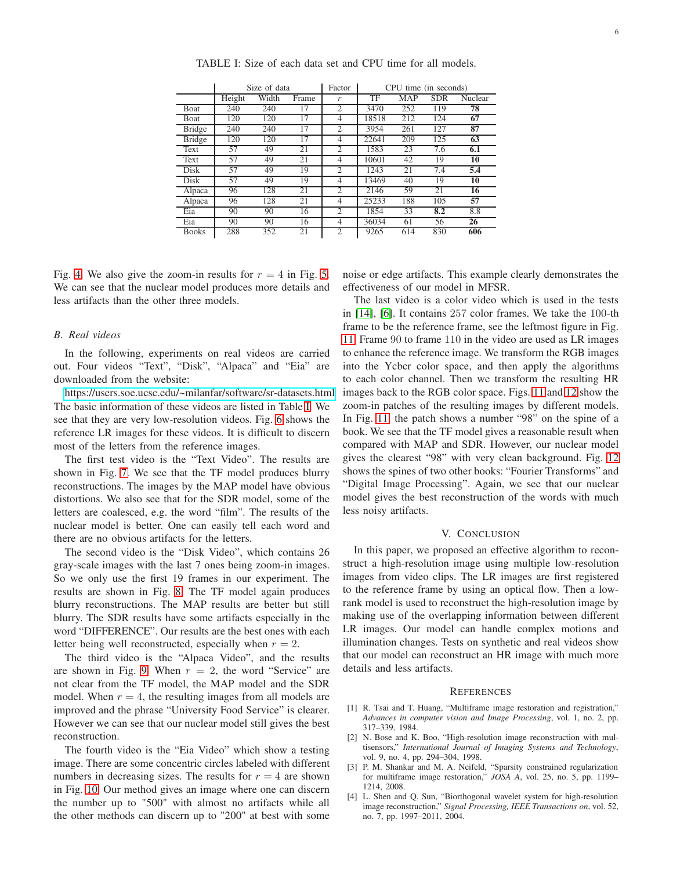<span id="page-5-5"></span>

|               |        | Size of data |       | Factor           | CPU time (in seconds) |            |            |         |  |
|---------------|--------|--------------|-------|------------------|-----------------------|------------|------------|---------|--|
|               | Height | Width        | Frame | $\boldsymbol{r}$ | TF                    | <b>MAP</b> | <b>SDR</b> | Nuclear |  |
| Boat          | 240    | 240          | 17    | $\overline{c}$   | 3470                  | 252        | 119        | 78      |  |
| <b>B</b> oat  | 120    | 120          | 17    | 4                | 18518                 | 212        | 124        | 67      |  |
| <b>Bridge</b> | 240    | 240          | 17    | 2                | 3954                  | 261        | 127        | 87      |  |
| <b>Bridge</b> | 120    | 120          | 17    | 4                | 22641                 | 209        | 125        | 63      |  |
| Text          | 57     | 49           | 21    | $\overline{c}$   | 1583                  | 23         | 7.6        | 6.1     |  |
| Text          | 57     | 49           | 21    | 4                | 10601                 | 42         | 19         | 10      |  |
| Disk          | 57     | 49           | 19    | 2                | 1243                  | 21         | 7.4        | 5.4     |  |
| Disk          | 57     | 49           | 19    | 4                | 13469                 | 40         | 19         | 10      |  |
| Alpaca        | 96     | 128          | 21    | 2                | 2146                  | 59         | 21         | 16      |  |
| Alpaca        | 96     | 128          | 21    | $\overline{4}$   | 25233                 | 188        | 105        | 57      |  |
| Eia           | 90     | 90           | 16    | $\overline{c}$   | 1854                  | 33         | 8.2        | 8.8     |  |
| Eia           | 90     | 90           | 16    | $\overline{4}$   | 36034                 | 61         | 56         | 26      |  |
| <b>Books</b>  | 288    | 352          | 21    | 2                | 9265                  | 614        | 830        | 606     |  |

TABLE I: Size of each data set and CPU time for all models.

Fig. [4.](#page-7-11) We also give the zoom-in results for  $r = 4$  in Fig. [5.](#page-8-0) We can see that the nuclear model produces more details and less artifacts than the other three models.

## *B. Real videos*

In the following, experiments on real videos are carried out. Four videos "Text", "Disk", "Alpaca" and "Eia" are downloaded from the website:

[https://users.soe.ucsc.edu/~milanfar/software/sr-datasets.html.](https://users.soe.ucsc.edu/~milanfar/software/sr-datasets.html) The basic information of these videos are listed in Table [I.](#page-5-5) We see that they are very low-resolution videos. Fig. [6](#page-8-1) shows the reference LR images for these videos. It is difficult to discern most of the letters from the reference images.

The first test video is the "Text Video". The results are shown in Fig. [7.](#page-9-0) We see that the TF model produces blurry reconstructions. The images by the MAP model have obvious distortions. We also see that for the SDR model, some of the letters are coalesced, e.g. the word "film". The results of the nuclear model is better. One can easily tell each word and there are no obvious artifacts for the letters.

The second video is the "Disk Video", which contains 26 gray-scale images with the last 7 ones being zoom-in images. So we only use the first 19 frames in our experiment. The results are shown in Fig. [8.](#page-9-1) The TF model again produces blurry reconstructions. The MAP results are better but still blurry. The SDR results have some artifacts especially in the word "DIFFERENCE". Our results are the best ones with each letter being well reconstructed, especially when  $r = 2$ .

The third video is the "Alpaca Video", and the results are shown in Fig. [9.](#page-10-0) When  $r = 2$ , the word "Service" are not clear from the TF model, the MAP model and the SDR model. When  $r = 4$ , the resulting images from all models are improved and the phrase "University Food Service" is clearer. However we can see that our nuclear model still gives the best reconstruction.

The fourth video is the "Eia Video" which show a testing image. There are some concentric circles labeled with different numbers in decreasing sizes. The results for  $r = 4$  are shown in Fig. [10.](#page-10-1) Our method gives an image where one can discern the number up to "500" with almost no artifacts while all the other methods can discern up to "200" at best with some

noise or edge artifacts. This example clearly demonstrates the effectiveness of our model in MFSR.

The last video is a color video which is used in the tests in [\[14\]](#page-6-9), [\[6\]](#page-6-1). It contains 257 color frames. We take the 100-th frame to be the reference frame, see the leftmost figure in Fig. [11.](#page-11-0) Frame 90 to frame 110 in the video are used as LR images to enhance the reference image. We transform the RGB images into the Ycbcr color space, and then apply the algorithms to each color channel. Then we transform the resulting HR images back to the RGB color space. Figs. [11](#page-11-0) and [12](#page-11-1) show the zoom-in patches of the resulting images by different models. In Fig. [11,](#page-11-0) the patch shows a number "98" on the spine of a book. We see that the TF model gives a reasonable result when compared with MAP and SDR. However, our nuclear model gives the clearest "98" with very clean background. Fig. [12](#page-11-1) shows the spines of two other books: "Fourier Transforms" and "Digital Image Processing". Again, we see that our nuclear model gives the best reconstruction of the words with much less noisy artifacts.

## V. CONCLUSION

<span id="page-5-4"></span>In this paper, we proposed an effective algorithm to reconstruct a high-resolution image using multiple low-resolution images from video clips. The LR images are first registered to the reference frame by using an optical flow. Then a lowrank model is used to reconstruct the high-resolution image by making use of the overlapping information between different LR images. Our model can handle complex motions and illumination changes. Tests on synthetic and real videos show that our model can reconstruct an HR image with much more details and less artifacts.

#### **REFERENCES**

- <span id="page-5-0"></span>[1] R. Tsai and T. Huang, "Multiframe image restoration and registration," *Advances in computer vision and Image Processing*, vol. 1, no. 2, pp. 317–339, 1984.
- <span id="page-5-1"></span>[2] N. Bose and K. Boo, "High-resolution image reconstruction with multisensors," *International Journal of Imaging Systems and Technology*, vol. 9, no. 4, pp. 294–304, 1998.
- <span id="page-5-2"></span>[3] P. M. Shankar and M. A. Neifeld, "Sparsity constrained regularization for multiframe image restoration," *JOSA A*, vol. 25, no. 5, pp. 1199– 1214, 2008.
- <span id="page-5-3"></span>[4] L. Shen and Q. Sun, "Biorthogonal wavelet system for high-resolution image reconstruction," *Signal Processing, IEEE Transactions on*, vol. 52, no. 7, pp. 1997–2011, 2004.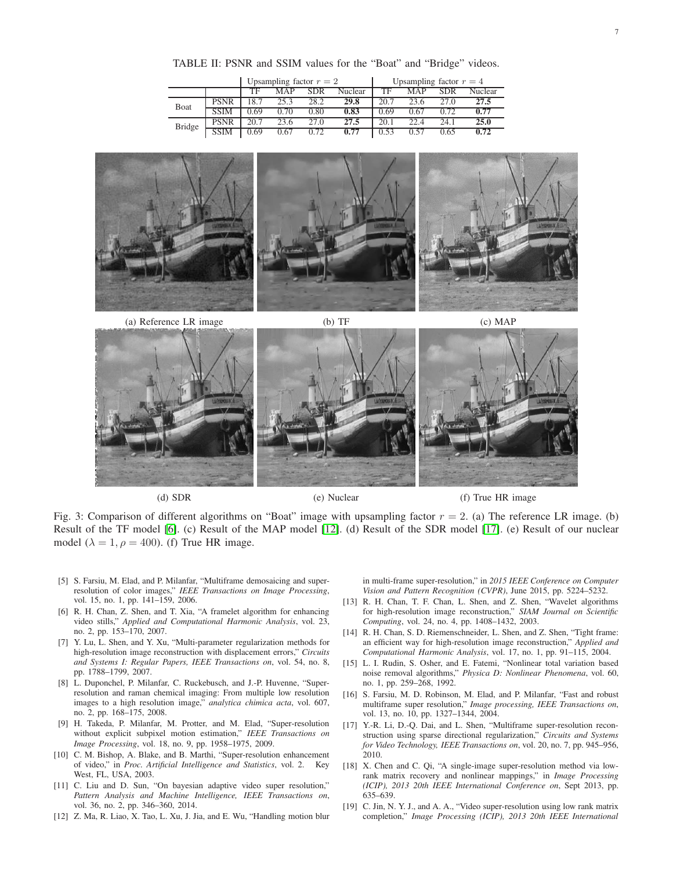TABLE II: PSNR and SSIM values for the "Boat" and "Bridge" videos.

| Upsampling factor $r = 2$ |             |      |      |            | Upsampling factor $r = 4$ |      |      |      |         |
|---------------------------|-------------|------|------|------------|---------------------------|------|------|------|---------|
|                           |             | TF   | MAP  | <b>SDR</b> | Nuclear                   | TF   | MAP  | SDR  | Nuclear |
| Boat                      | <b>PSNR</b> | 18.7 | 253  | 28.2       | 29.8                      | 20.7 | 23.6 |      | 27.5    |
|                           |             | 1.69 | 70   | 0.80       | 0.83                      | D 69 | በ 67 | 172  | 0.77    |
| <b>Bridge</b>             | <b>PSNR</b> | 20.7 | 23.6 | 27 O       | 27.5                      | 20.1 | 22 A | 24 1 | 25.0    |
|                           |             | ) 69 | 0.67 | በ 72       | በ 77                      | ) 53 |      | רח ( | 272     |

<span id="page-6-16"></span><span id="page-6-15"></span>





(d) SDR (e) Nuclear (f) True HR image

Fig. 3: Comparison of different algorithms on "Boat" image with upsampling factor  $r = 2$ . (a) The reference LR image. (b) Result of the TF model [\[6\]](#page-6-1). (c) Result of the MAP model [\[12\]](#page-6-7). (d) Result of the SDR model [\[17\]](#page-6-12). (e) Result of our nuclear model ( $\lambda = 1, \rho = 400$ ). (f) True HR image.

- <span id="page-6-0"></span>[5] S. Farsiu, M. Elad, and P. Milanfar, "Multiframe demosaicing and superresolution of color images," *IEEE Transactions on Image Processing*, vol. 15, no. 1, pp. 141–159, 2006.
- <span id="page-6-1"></span>[6] R. H. Chan, Z. Shen, and T. Xia, "A framelet algorithm for enhancing video stills," *Applied and Computational Harmonic Analysis*, vol. 23, no. 2, pp. 153–170, 2007.
- <span id="page-6-2"></span>[7] Y. Lu, L. Shen, and Y. Xu, "Multi-parameter regularization methods for high-resolution image reconstruction with displacement errors," *Circuits and Systems I: Regular Papers, IEEE Transactions on*, vol. 54, no. 8, pp. 1788–1799, 2007.
- <span id="page-6-3"></span>[8] L. Duponchel, P. Milanfar, C. Ruckebusch, and J.-P. Huvenne, "Superresolution and raman chemical imaging: From multiple low resolution images to a high resolution image," *analytica chimica acta*, vol. 607, no. 2, pp. 168–175, 2008.
- <span id="page-6-4"></span>[9] H. Takeda, P. Milanfar, M. Protter, and M. Elad, "Super-resolution without explicit subpixel motion estimation," *IEEE Transactions on Image Processing*, vol. 18, no. 9, pp. 1958–1975, 2009.
- <span id="page-6-5"></span>[10] C. M. Bishop, A. Blake, and B. Marthi, "Super-resolution enhancement of video," in *Proc. Artificial Intelligence and Statistics*, vol. 2. Key West, FL, USA, 2003.
- <span id="page-6-6"></span>[11] C. Liu and D. Sun, "On bayesian adaptive video super resolution," *Pattern Analysis and Machine Intelligence, IEEE Transactions on*, vol. 36, no. 2, pp. 346–360, 2014.
- <span id="page-6-7"></span>[12] Z. Ma, R. Liao, X. Tao, L. Xu, J. Jia, and E. Wu, "Handling motion blur

in multi-frame super-resolution," in *2015 IEEE Conference on Computer Vision and Pattern Recognition (CVPR)*, June 2015, pp. 5224–5232.

- <span id="page-6-8"></span>[13] R. H. Chan, T. F. Chan, L. Shen, and Z. Shen, "Wavelet algorithms for high-resolution image reconstruction," *SIAM Journal on Scientific Computing*, vol. 24, no. 4, pp. 1408–1432, 2003.
- <span id="page-6-9"></span>[14] R. H. Chan, S. D. Riemenschneider, L. Shen, and Z. Shen, "Tight frame: an efficient way for high-resolution image reconstruction," *Applied and Computational Harmonic Analysis*, vol. 17, no. 1, pp. 91–115, 2004.
- <span id="page-6-10"></span>[15] L. I. Rudin, S. Osher, and E. Fatemi, "Nonlinear total variation based noise removal algorithms," *Physica D: Nonlinear Phenomena*, vol. 60, no. 1, pp. 259–268, 1992.
- <span id="page-6-11"></span>[16] S. Farsiu, M. D. Robinson, M. Elad, and P. Milanfar, "Fast and robust multiframe super resolution," *Image processing, IEEE Transactions on*, vol. 13, no. 10, pp. 1327–1344, 2004.
- <span id="page-6-12"></span>[17] Y.-R. Li, D.-Q. Dai, and L. Shen, "Multiframe super-resolution reconstruction using sparse directional regularization," *Circuits and Systems for Video Technology, IEEE Transactions on*, vol. 20, no. 7, pp. 945–956, 2010.
- <span id="page-6-13"></span>[18] X. Chen and C. Qi, "A single-image super-resolution method via lowrank matrix recovery and nonlinear mappings," in *Image Processing (ICIP), 2013 20th IEEE International Conference on*, Sept 2013, pp. 635–639.
- <span id="page-6-14"></span>[19] C. Jin, N. Y. J., and A. A., "Video super-resolution using low rank matrix completion," *Image Processing (ICIP), 2013 20th IEEE International*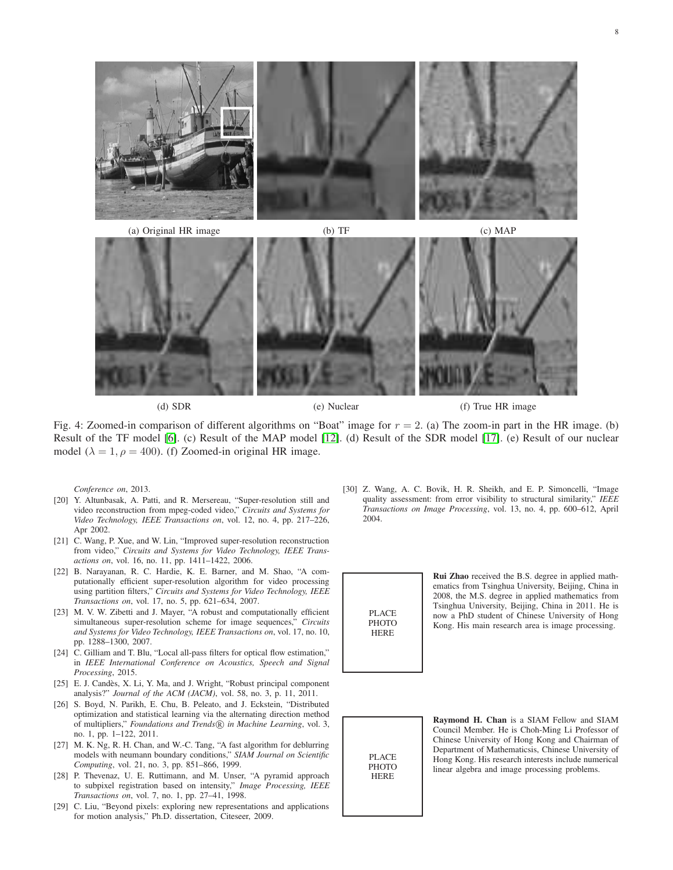<span id="page-7-11"></span>

(a) Original HR image (b) TF (c) MAP

(d) SDR (e) Nuclear (f) True HR image

Fig. 4: Zoomed-in comparison of different algorithms on "Boat" image for  $r = 2$ . (a) The zoom-in part in the HR image. (b) Result of the TF model [\[6\]](#page-6-1). (c) Result of the MAP model [\[12\]](#page-6-7). (d) Result of the SDR model [\[17\]](#page-6-12). (e) Result of our nuclear model ( $\lambda = 1$ ,  $\rho = 400$ ). (f) Zoomed-in original HR image.

*Conference on*, 2013.

- <span id="page-7-0"></span>[20] Y. Altunbasak, A. Patti, and R. Mersereau, "Super-resolution still and video reconstruction from mpeg-coded video," *Circuits and Systems for Video Technology, IEEE Transactions on*, vol. 12, no. 4, pp. 217–226, Apr 2002.
- <span id="page-7-1"></span>[21] C. Wang, P. Xue, and W. Lin, "Improved super-resolution reconstruction from video," *Circuits and Systems for Video Technology, IEEE Transactions on*, vol. 16, no. 11, pp. 1411–1422, 2006.
- <span id="page-7-2"></span>[22] B. Narayanan, R. C. Hardie, K. E. Barner, and M. Shao, "A computationally efficient super-resolution algorithm for video processing using partition filters," *Circuits and Systems for Video Technology, IEEE Transactions on*, vol. 17, no. 5, pp. 621–634, 2007.
- <span id="page-7-3"></span>[23] M. V. W. Zibetti and J. Mayer, "A robust and computationally efficient simultaneous super-resolution scheme for image sequences," *Circuits and Systems for Video Technology, IEEE Transactions on*, vol. 17, no. 10, pp. 1288–1300, 2007.
- <span id="page-7-4"></span>[24] C. Gilliam and T. Blu, "Local all-pass filters for optical flow estimation," in *IEEE International Conference on Acoustics, Speech and Signal Processing*, 2015.
- <span id="page-7-5"></span>[25] E. J. Candès, X. Li, Y. Ma, and J. Wright, "Robust principal component analysis?" *Journal of the ACM (JACM)*, vol. 58, no. 3, p. 11, 2011.
- <span id="page-7-6"></span>[26] S. Boyd, N. Parikh, E. Chu, B. Peleato, and J. Eckstein, "Distributed optimization and statistical learning via the alternating direction method of multipliers," *Foundations and Trends* ® *in Machine Learning*, vol. 3, no. 1, pp. 1–122, 2011.
- <span id="page-7-7"></span>[27] M. K. Ng, R. H. Chan, and W.-C. Tang, "A fast algorithm for deblurring models with neumann boundary conditions," *SIAM Journal on Scientific Computing*, vol. 21, no. 3, pp. 851–866, 1999.
- <span id="page-7-8"></span>[28] P. Thevenaz, U. E. Ruttimann, and M. Unser, "A pyramid approach to subpixel registration based on intensity," *Image Processing, IEEE Transactions on*, vol. 7, no. 1, pp. 27–41, 1998.
- <span id="page-7-9"></span>[29] C. Liu, "Beyond pixels: exploring new representations and applications for motion analysis," Ph.D. dissertation, Citeseer, 2009.

<span id="page-7-10"></span>[30] Z. Wang, A. C. Bovik, H. R. Sheikh, and E. P. Simoncelli, "Image quality assessment: from error visibility to structural similarity," *IEEE Transactions on Image Processing*, vol. 13, no. 4, pp. 600–612, April 2004.



Rui Zhao received the B.S. degree in applied mathematics from Tsinghua University, Beijing, China in 2008, the M.S. degree in applied mathematics from Tsinghua University, Beijing, China in 2011. He is now a PhD student of Chinese University of Hong Kong. His main research area is image processing.



Raymond H. Chan is a SIAM Fellow and SIAM Council Member. He is Choh-Ming Li Professor of Chinese University of Hong Kong and Chairman of Department of Mathematicsis, Chinese University of Hong Kong. His research interests include numerical linear algebra and image processing problems.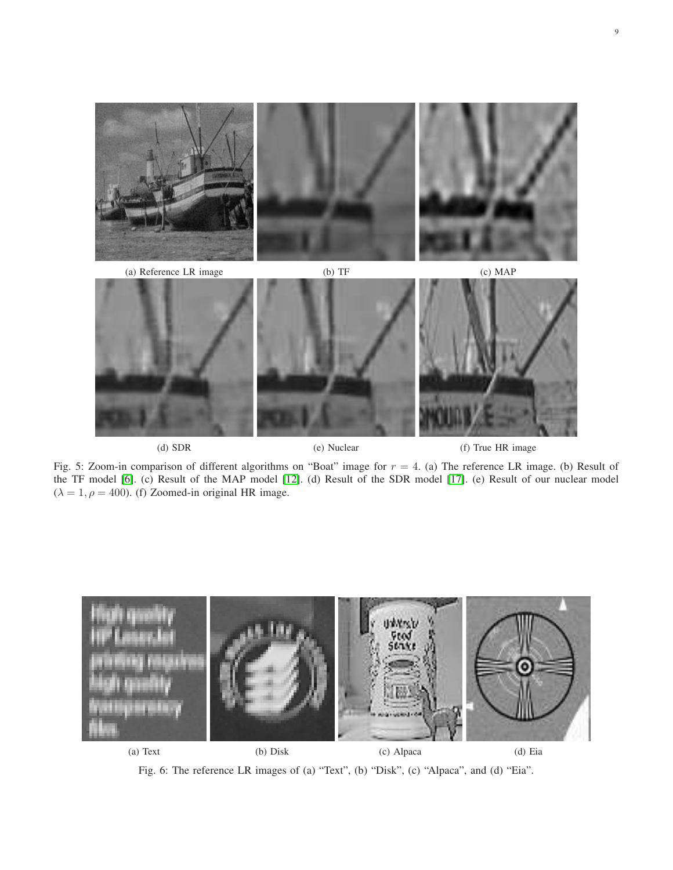<span id="page-8-0"></span>

(d) SDR (e) Nuclear (f) True HR image

Fig. 5: Zoom-in comparison of different algorithms on "Boat" image for  $r = 4$ . (a) The reference LR image. (b) Result of the TF model [\[6\]](#page-6-1). (c) Result of the MAP model [\[12\]](#page-6-7). (d) Result of the SDR model [\[17\]](#page-6-12). (e) Result of our nuclear model  $(\lambda = 1, \rho = 400)$ . (f) Zoomed-in original HR image.

<span id="page-8-1"></span>

Fig. 6: The reference LR images of (a) "Text", (b) "Disk", (c) "Alpaca", and (d) "Eia".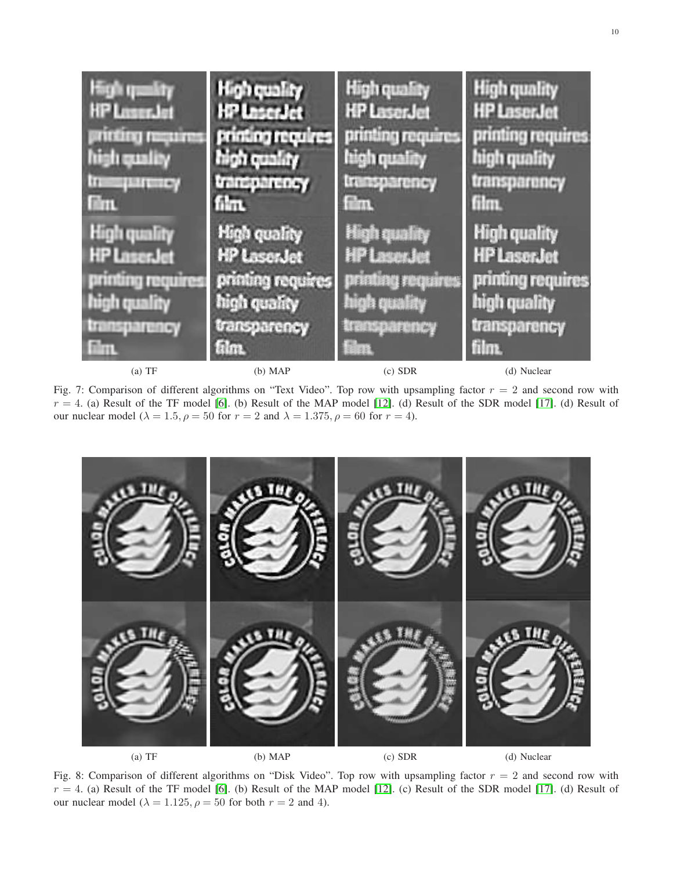<span id="page-9-0"></span>

Fig. 7: Comparison of different algorithms on "Text Video". Top row with upsampling factor  $r = 2$  and second row with  $r = 4$ . (a) Result of the TF model [\[6\]](#page-6-1). (b) Result of the MAP model [\[12\]](#page-6-7). (d) Result of the SDR model [\[17\]](#page-6-12). (d) Result of our nuclear model ( $\lambda = 1.5$ ,  $\rho = 50$  for  $r = 2$  and  $\lambda = 1.375$ ,  $\rho = 60$  for  $r = 4$ ).

<span id="page-9-1"></span>

Fig. 8: Comparison of different algorithms on "Disk Video". Top row with upsampling factor  $r = 2$  and second row with  $r = 4$ . (a) Result of the TF model [\[6\]](#page-6-1). (b) Result of the MAP model [\[12\]](#page-6-7). (c) Result of the SDR model [\[17\]](#page-6-12). (d) Result of our nuclear model ( $\lambda = 1.125$ ,  $\rho = 50$  for both  $r = 2$  and 4).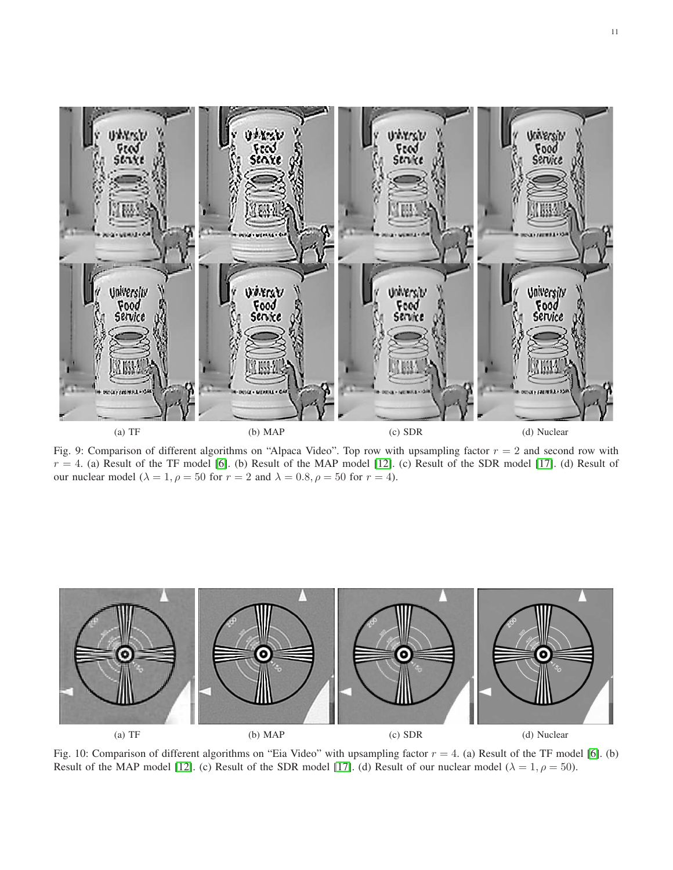<span id="page-10-0"></span>

Fig. 9: Comparison of different algorithms on "Alpaca Video". Top row with upsampling factor  $r = 2$  and second row with  $r = 4$ . (a) Result of the TF model [\[6\]](#page-6-1). (b) Result of the MAP model [\[12\]](#page-6-7). (c) Result of the SDR model [\[17\]](#page-6-12). (d) Result of our nuclear model ( $\lambda = 1$ ,  $\rho = 50$  for  $r = 2$  and  $\lambda = 0.8$ ,  $\rho = 50$  for  $r = 4$ ).

<span id="page-10-1"></span>

Fig. 10: Comparison of different algorithms on "Eia Video" with upsampling factor  $r = 4$ . (a) Result of the TF model [\[6\]](#page-6-1). (b) Result of the MAP model [\[12\]](#page-6-7). (c) Result of the SDR model [\[17\]](#page-6-12). (d) Result of our nuclear model ( $\lambda = 1, \rho = 50$ ).